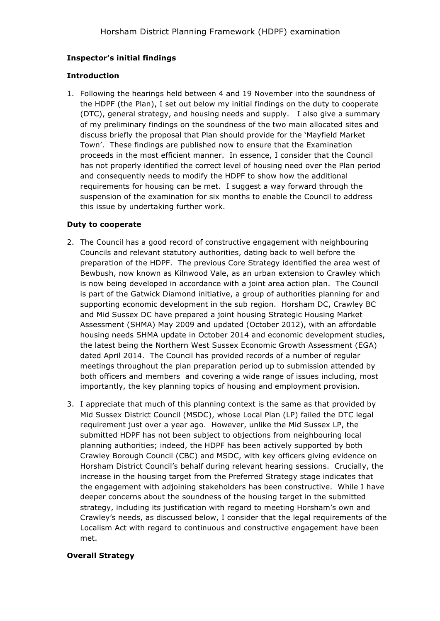## **Inspector's initial findings**

### **Introduction**

1. Following the hearings held between 4 and 19 November into the soundness of the HDPF (the Plan), I set out below my initial findings on the duty to cooperate (DTC), general strategy, and housing needs and supply. I also give a summary of my preliminary findings on the soundness of the two main allocated sites and discuss briefly the proposal that Plan should provide for the 'Mayfield Market Town'. These findings are published now to ensure that the Examination proceeds in the most efficient manner. In essence, I consider that the Council has not properly identified the correct level of housing need over the Plan period and consequently needs to modify the HDPF to show how the additional requirements for housing can be met. I suggest a way forward through the suspension of the examination for six months to enable the Council to address this issue by undertaking further work.

### **Duty to cooperate**

- 2. The Council has a good record of constructive engagement with neighbouring Councils and relevant statutory authorities, dating back to well before the preparation of the HDPF. The previous Core Strategy identified the area west of Bewbush, now known as Kilnwood Vale, as an urban extension to Crawley which is now being developed in accordance with a joint area action plan. The Council is part of the Gatwick Diamond initiative, a group of authorities planning for and supporting economic development in the sub region. Horsham DC, Crawley BC and Mid Sussex DC have prepared a joint housing Strategic Housing Market Assessment (SHMA) May 2009 and updated (October 2012), with an affordable housing needs SHMA update in October 2014 and economic development studies, the latest being the Northern West Sussex Economic Growth Assessment (EGA) dated April 2014. The Council has provided records of a number of regular meetings throughout the plan preparation period up to submission attended by both officers and members and covering a wide range of issues including, most importantly, the key planning topics of housing and employment provision.
- 3. I appreciate that much of this planning context is the same as that provided by Mid Sussex District Council (MSDC), whose Local Plan (LP) failed the DTC legal requirement just over a year ago. However, unlike the Mid Sussex LP, the submitted HDPF has not been subject to objections from neighbouring local planning authorities; indeed, the HDPF has been actively supported by both Crawley Borough Council (CBC) and MSDC, with key officers giving evidence on Horsham District Council's behalf during relevant hearing sessions. Crucially, the increase in the housing target from the Preferred Strategy stage indicates that the engagement with adjoining stakeholders has been constructive. While I have deeper concerns about the soundness of the housing target in the submitted strategy, including its justification with regard to meeting Horsham's own and Crawley's needs, as discussed below, I consider that the legal requirements of the Localism Act with regard to continuous and constructive engagement have been met.

### **Overall Strategy**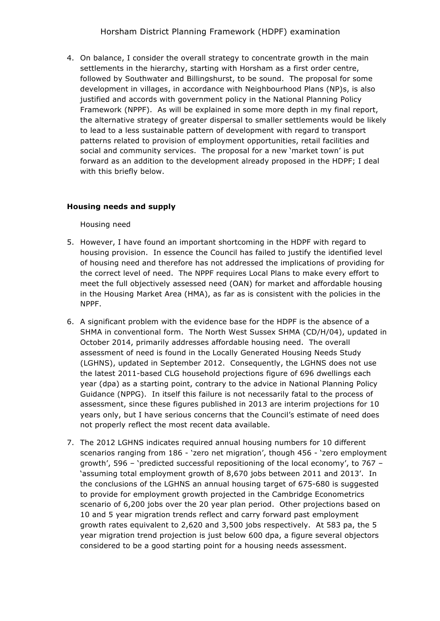4. On balance, I consider the overall strategy to concentrate growth in the main settlements in the hierarchy, starting with Horsham as a first order centre, followed by Southwater and Billingshurst, to be sound. The proposal for some development in villages, in accordance with Neighbourhood Plans (NP)s, is also justified and accords with government policy in the National Planning Policy Framework (NPPF). As will be explained in some more depth in my final report, the alternative strategy of greater dispersal to smaller settlements would be likely to lead to a less sustainable pattern of development with regard to transport patterns related to provision of employment opportunities, retail facilities and social and community services. The proposal for a new 'market town' is put forward as an addition to the development already proposed in the HDPF; I deal with this briefly below.

# **Housing needs and supply**

Housing need

- 5. However, I have found an important shortcoming in the HDPF with regard to housing provision. In essence the Council has failed to justify the identified level of housing need and therefore has not addressed the implications of providing for the correct level of need. The NPPF requires Local Plans to make every effort to meet the full objectively assessed need (OAN) for market and affordable housing in the Housing Market Area (HMA), as far as is consistent with the policies in the NPPF.
- 6. A significant problem with the evidence base for the HDPF is the absence of a SHMA in conventional form. The North West Sussex SHMA (CD/H/04), updated in October 2014, primarily addresses affordable housing need. The overall assessment of need is found in the Locally Generated Housing Needs Study (LGHNS), updated in September 2012. Consequently, the LGHNS does not use the latest 2011-based CLG household projections figure of 696 dwellings each year (dpa) as a starting point, contrary to the advice in National Planning Policy Guidance (NPPG). In itself this failure is not necessarily fatal to the process of assessment, since these figures published in 2013 are interim projections for 10 years only, but I have serious concerns that the Council's estimate of need does not properly reflect the most recent data available.
- 7. The 2012 LGHNS indicates required annual housing numbers for 10 different scenarios ranging from 186 - 'zero net migration', though 456 - 'zero employment growth', 596 – 'predicted successful repositioning of the local economy', to 767 – 'assuming total employment growth of 8,670 jobs between 2011 and 2013'. In the conclusions of the LGHNS an annual housing target of 675-680 is suggested to provide for employment growth projected in the Cambridge Econometrics scenario of 6,200 jobs over the 20 year plan period. Other projections based on 10 and 5 year migration trends reflect and carry forward past employment growth rates equivalent to 2,620 and 3,500 jobs respectively. At 583 pa, the 5 year migration trend projection is just below 600 dpa, a figure several objectors considered to be a good starting point for a housing needs assessment.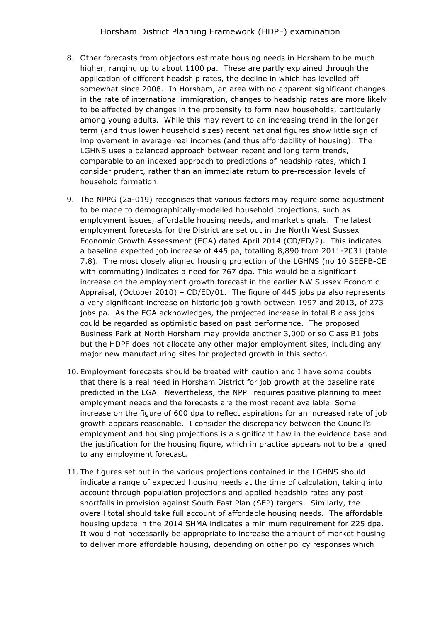- 8. Other forecasts from objectors estimate housing needs in Horsham to be much higher, ranging up to about 1100 pa. These are partly explained through the application of different headship rates, the decline in which has levelled off somewhat since 2008. In Horsham, an area with no apparent significant changes in the rate of international immigration, changes to headship rates are more likely to be affected by changes in the propensity to form new households, particularly among young adults. While this may revert to an increasing trend in the longer term (and thus lower household sizes) recent national figures show little sign of improvement in average real incomes (and thus affordability of housing). The LGHNS uses a balanced approach between recent and long term trends, comparable to an indexed approach to predictions of headship rates, which I consider prudent, rather than an immediate return to pre-recession levels of household formation.
- 9. The NPPG (2a-019) recognises that various factors may require some adjustment to be made to demographically-modelled household projections, such as employment issues, affordable housing needs, and market signals. The latest employment forecasts for the District are set out in the North West Sussex Economic Growth Assessment (EGA) dated April 2014 (CD/ED/2). This indicates a baseline expected job increase of 445 pa, totalling 8,890 from 2011-2031 (table 7.8). The most closely aligned housing projection of the LGHNS (no 10 SEEPB-CE with commuting) indicates a need for 767 dpa. This would be a significant increase on the employment growth forecast in the earlier NW Sussex Economic Appraisal, (October 2010) – CD/ED/01. The figure of 445 jobs pa also represents a very significant increase on historic job growth between 1997 and 2013, of 273 jobs pa. As the EGA acknowledges, the projected increase in total B class jobs could be regarded as optimistic based on past performance. The proposed Business Park at North Horsham may provide another 3,000 or so Class B1 jobs but the HDPF does not allocate any other major employment sites, including any major new manufacturing sites for projected growth in this sector.
- 10. Employment forecasts should be treated with caution and I have some doubts that there is a real need in Horsham District for job growth at the baseline rate predicted in the EGA. Nevertheless, the NPPF requires positive planning to meet employment needs and the forecasts are the most recent available. Some increase on the figure of 600 dpa to reflect aspirations for an increased rate of job growth appears reasonable. I consider the discrepancy between the Council's employment and housing projections is a significant flaw in the evidence base and the justification for the housing figure, which in practice appears not to be aligned to any employment forecast.
- 11. The figures set out in the various projections contained in the LGHNS should indicate a range of expected housing needs at the time of calculation, taking into account through population projections and applied headship rates any past shortfalls in provision against South East Plan (SEP) targets. Similarly, the overall total should take full account of affordable housing needs. The affordable housing update in the 2014 SHMA indicates a minimum requirement for 225 dpa. It would not necessarily be appropriate to increase the amount of market housing to deliver more affordable housing, depending on other policy responses which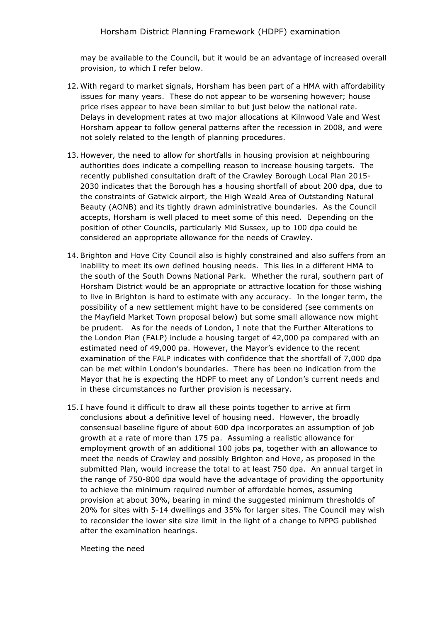may be available to the Council, but it would be an advantage of increased overall provision, to which I refer below.

- 12. With regard to market signals, Horsham has been part of a HMA with affordability issues for many years. These do not appear to be worsening however; house price rises appear to have been similar to but just below the national rate. Delays in development rates at two major allocations at Kilnwood Vale and West Horsham appear to follow general patterns after the recession in 2008, and were not solely related to the length of planning procedures.
- 13. However, the need to allow for shortfalls in housing provision at neighbouring authorities does indicate a compelling reason to increase housing targets. The recently published consultation draft of the Crawley Borough Local Plan 2015- 2030 indicates that the Borough has a housing shortfall of about 200 dpa, due to the constraints of Gatwick airport, the High Weald Area of Outstanding Natural Beauty (AONB) and its tightly drawn administrative boundaries. As the Council accepts, Horsham is well placed to meet some of this need. Depending on the position of other Councils, particularly Mid Sussex, up to 100 dpa could be considered an appropriate allowance for the needs of Crawley.
- 14. Brighton and Hove City Council also is highly constrained and also suffers from an inability to meet its own defined housing needs. This lies in a different HMA to the south of the South Downs National Park. Whether the rural, southern part of Horsham District would be an appropriate or attractive location for those wishing to live in Brighton is hard to estimate with any accuracy. In the longer term, the possibility of a new settlement might have to be considered (see comments on the Mayfield Market Town proposal below) but some small allowance now might be prudent. As for the needs of London, I note that the Further Alterations to the London Plan (FALP) include a housing target of 42,000 pa compared with an estimated need of 49,000 pa. However, the Mayor's evidence to the recent examination of the FALP indicates with confidence that the shortfall of 7,000 dpa can be met within London's boundaries. There has been no indication from the Mayor that he is expecting the HDPF to meet any of London's current needs and in these circumstances no further provision is necessary.
- 15. I have found it difficult to draw all these points together to arrive at firm conclusions about a definitive level of housing need. However, the broadly consensual baseline figure of about 600 dpa incorporates an assumption of job growth at a rate of more than 175 pa. Assuming a realistic allowance for employment growth of an additional 100 jobs pa, together with an allowance to meet the needs of Crawley and possibly Brighton and Hove, as proposed in the submitted Plan, would increase the total to at least 750 dpa. An annual target in the range of 750-800 dpa would have the advantage of providing the opportunity to achieve the minimum required number of affordable homes, assuming provision at about 30%, bearing in mind the suggested minimum thresholds of 20% for sites with 5-14 dwellings and 35% for larger sites. The Council may wish to reconsider the lower site size limit in the light of a change to NPPG published after the examination hearings.

Meeting the need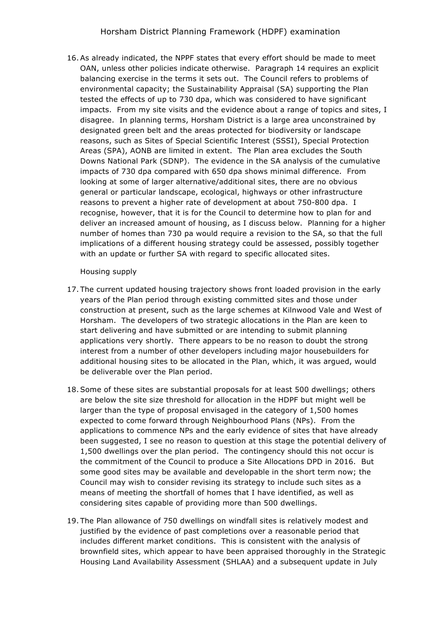16. As already indicated, the NPPF states that every effort should be made to meet OAN, unless other policies indicate otherwise. Paragraph 14 requires an explicit balancing exercise in the terms it sets out. The Council refers to problems of environmental capacity; the Sustainability Appraisal (SA) supporting the Plan tested the effects of up to 730 dpa, which was considered to have significant impacts. From my site visits and the evidence about a range of topics and sites, I disagree. In planning terms, Horsham District is a large area unconstrained by designated green belt and the areas protected for biodiversity or landscape reasons, such as Sites of Special Scientific Interest (SSSI), Special Protection Areas (SPA), AONB are limited in extent. The Plan area excludes the South Downs National Park (SDNP). The evidence in the SA analysis of the cumulative impacts of 730 dpa compared with 650 dpa shows minimal difference. From looking at some of larger alternative/additional sites, there are no obvious general or particular landscape, ecological, highways or other infrastructure reasons to prevent a higher rate of development at about 750-800 dpa. I recognise, however, that it is for the Council to determine how to plan for and deliver an increased amount of housing, as I discuss below. Planning for a higher number of homes than 730 pa would require a revision to the SA, so that the full implications of a different housing strategy could be assessed, possibly together with an update or further SA with regard to specific allocated sites.

### Housing supply

- 17. The current updated housing trajectory shows front loaded provision in the early years of the Plan period through existing committed sites and those under construction at present, such as the large schemes at Kilnwood Vale and West of Horsham. The developers of two strategic allocations in the Plan are keen to start delivering and have submitted or are intending to submit planning applications very shortly. There appears to be no reason to doubt the strong interest from a number of other developers including major housebuilders for additional housing sites to be allocated in the Plan, which, it was argued, would be deliverable over the Plan period.
- 18. Some of these sites are substantial proposals for at least 500 dwellings; others are below the site size threshold for allocation in the HDPF but might well be larger than the type of proposal envisaged in the category of 1,500 homes expected to come forward through Neighbourhood Plans (NPs). From the applications to commence NPs and the early evidence of sites that have already been suggested, I see no reason to question at this stage the potential delivery of 1,500 dwellings over the plan period. The contingency should this not occur is the commitment of the Council to produce a Site Allocations DPD in 2016. But some good sites may be available and developable in the short term now; the Council may wish to consider revising its strategy to include such sites as a means of meeting the shortfall of homes that I have identified, as well as considering sites capable of providing more than 500 dwellings.
- 19. The Plan allowance of 750 dwellings on windfall sites is relatively modest and justified by the evidence of past completions over a reasonable period that includes different market conditions. This is consistent with the analysis of brownfield sites, which appear to have been appraised thoroughly in the Strategic Housing Land Availability Assessment (SHLAA) and a subsequent update in July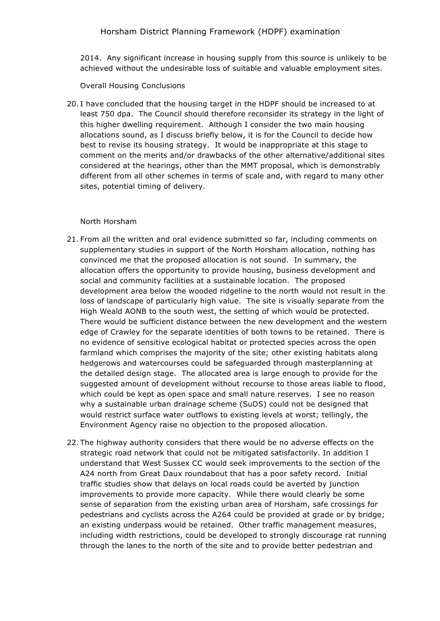2014. Any significant increase in housing supply from this source is unlikely to be achieved without the undesirable loss of suitable and valuable employment sites.

Overall Housing Conclusions

20. I have concluded that the housing target in the HDPF should be increased to at least 750 dpa. The Council should therefore reconsider its strategy in the light of this higher dwelling requirement. Although I consider the two main housing allocations sound, as I discuss briefly below, it is for the Council to decide how best to revise its housing strategy. It would be inappropriate at this stage to comment on the merits and/or drawbacks of the other alternative/additional sites considered at the hearings, other than the MMT proposal, which is demonstrably different from all other schemes in terms of scale and, with regard to many other sites, potential timing of delivery.

### North Horsham

- 21. From all the written and oral evidence submitted so far, including comments on supplementary studies in support of the North Horsham allocation, nothing has convinced me that the proposed allocation is not sound. In summary, the allocation offers the opportunity to provide housing, business development and social and community facilities at a sustainable location. The proposed development area below the wooded ridgeline to the north would not result in the loss of landscape of particularly high value. The site is visually separate from the High Weald AONB to the south west, the setting of which would be protected. There would be sufficient distance between the new development and the western edge of Crawley for the separate identities of both towns to be retained. There is no evidence of sensitive ecological habitat or protected species across the open farmland which comprises the majority of the site; other existing habitats along hedgerows and watercourses could be safeguarded through masterplanning at the detailed design stage. The allocated area is large enough to provide for the suggested amount of development without recourse to those areas liable to flood, which could be kept as open space and small nature reserves. I see no reason why a sustainable urban drainage scheme (SuDS) could not be designed that would restrict surface water outflows to existing levels at worst; tellingly, the Environment Agency raise no objection to the proposed allocation.
- 22. The highway authority considers that there would be no adverse effects on the strategic road network that could not be mitigated satisfactorily. In addition I understand that West Sussex CC would seek improvements to the section of the A24 north from Great Daux roundabout that has a poor safety record. Initial traffic studies show that delays on local roads could be averted by junction improvements to provide more capacity. While there would clearly be some sense of separation from the existing urban area of Horsham, safe crossings for pedestrians and cyclists across the A264 could be provided at grade or by bridge; an existing underpass would be retained. Other traffic management measures, including width restrictions, could be developed to strongly discourage rat running through the lanes to the north of the site and to provide better pedestrian and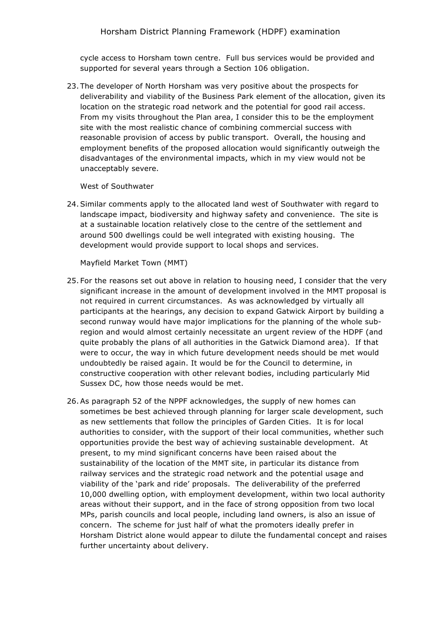cycle access to Horsham town centre. Full bus services would be provided and supported for several years through a Section 106 obligation.

23. The developer of North Horsham was very positive about the prospects for deliverability and viability of the Business Park element of the allocation, given its location on the strategic road network and the potential for good rail access. From my visits throughout the Plan area, I consider this to be the employment site with the most realistic chance of combining commercial success with reasonable provision of access by public transport. Overall, the housing and employment benefits of the proposed allocation would significantly outweigh the disadvantages of the environmental impacts, which in my view would not be unacceptably severe.

West of Southwater

24. Similar comments apply to the allocated land west of Southwater with regard to landscape impact, biodiversity and highway safety and convenience. The site is at a sustainable location relatively close to the centre of the settlement and around 500 dwellings could be well integrated with existing housing. The development would provide support to local shops and services.

Mayfield Market Town (MMT)

- 25. For the reasons set out above in relation to housing need, I consider that the very significant increase in the amount of development involved in the MMT proposal is not required in current circumstances. As was acknowledged by virtually all participants at the hearings, any decision to expand Gatwick Airport by building a second runway would have major implications for the planning of the whole subregion and would almost certainly necessitate an urgent review of the HDPF (and quite probably the plans of all authorities in the Gatwick Diamond area). If that were to occur, the way in which future development needs should be met would undoubtedly be raised again. It would be for the Council to determine, in constructive cooperation with other relevant bodies, including particularly Mid Sussex DC, how those needs would be met.
- 26. As paragraph 52 of the NPPF acknowledges, the supply of new homes can sometimes be best achieved through planning for larger scale development, such as new settlements that follow the principles of Garden Cities. It is for local authorities to consider, with the support of their local communities, whether such opportunities provide the best way of achieving sustainable development. At present, to my mind significant concerns have been raised about the sustainability of the location of the MMT site, in particular its distance from railway services and the strategic road network and the potential usage and viability of the 'park and ride' proposals. The deliverability of the preferred 10,000 dwelling option, with employment development, within two local authority areas without their support, and in the face of strong opposition from two local MPs, parish councils and local people, including land owners, is also an issue of concern. The scheme for just half of what the promoters ideally prefer in Horsham District alone would appear to dilute the fundamental concept and raises further uncertainty about delivery.